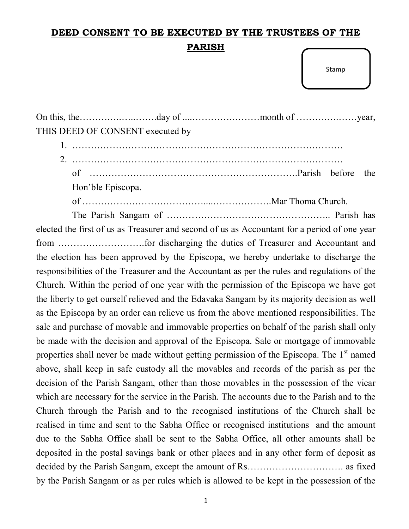## **DEED CONSENT TO BE EXECUTED BY THE TRUSTEES OF THE PARISH**

Stamp

On this, the……….….…..…….day of ....………….………month of ……….….……year, THIS DEED OF CONSENT executed by

| Hon'ble Episcopa. |  |  |
|-------------------|--|--|

of …………………………………....……………….Mar Thoma Church.

The Parish Sangam of …………………………………………….. Parish has elected the first of us as Treasurer and second of us as Accountant for a period of one year from ……………………….for discharging the duties of Treasurer and Accountant and the election has been approved by the Episcopa, we hereby undertake to discharge the responsibilities of the Treasurer and the Accountant as per the rules and regulations of the Church. Within the period of one year with the permission of the Episcopa we have got the liberty to get ourself relieved and the Edavaka Sangam by its majority decision as well as the Episcopa by an order can relieve us from the above mentioned responsibilities. The sale and purchase of movable and immovable properties on behalf of the parish shall only be made with the decision and approval of the Episcopa. Sale or mortgage of immovable properties shall never be made without getting permission of the Episcopa. The 1<sup>st</sup> named above, shall keep in safe custody all the movables and records of the parish as per the decision of the Parish Sangam, other than those movables in the possession of the vicar which are necessary for the service in the Parish. The accounts due to the Parish and to the Church through the Parish and to the recognised institutions of the Church shall be realised in time and sent to the Sabha Office or recognised institutions and the amount due to the Sabha Office shall be sent to the Sabha Office, all other amounts shall be deposited in the postal savings bank or other places and in any other form of deposit as decided by the Parish Sangam, except the amount of Rs…………………………. as fixed by the Parish Sangam or as per rules which is allowed to be kept in the possession of the